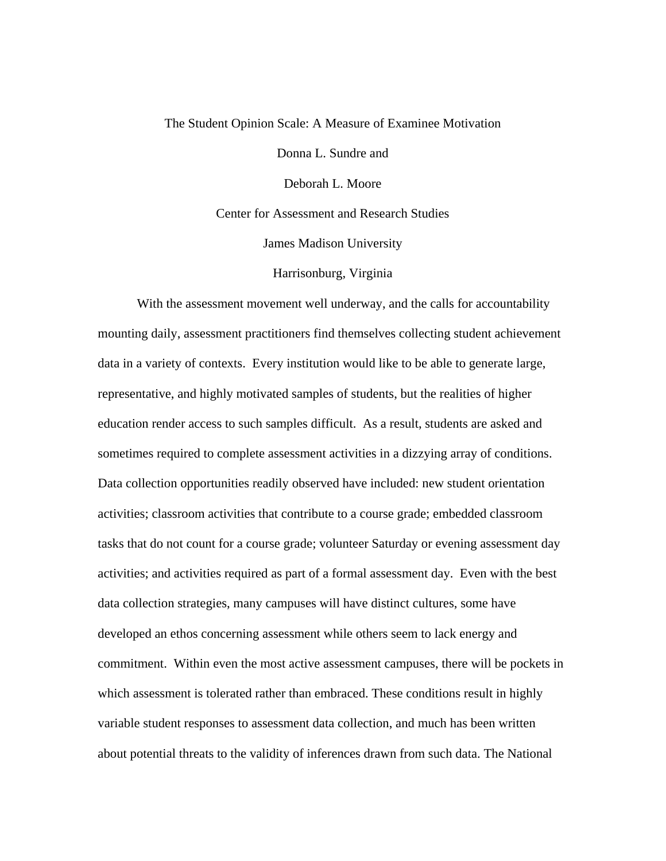## The Student Opinion Scale: A Measure of Examinee Motivation

Donna L. Sundre and

Deborah L. Moore

Center for Assessment and Research Studies

James Madison University

Harrisonburg, Virginia

With the assessment movement well underway, and the calls for accountability mounting daily, assessment practitioners find themselves collecting student achievement data in a variety of contexts. Every institution would like to be able to generate large, representative, and highly motivated samples of students, but the realities of higher education render access to such samples difficult. As a result, students are asked and sometimes required to complete assessment activities in a dizzying array of conditions. Data collection opportunities readily observed have included: new student orientation activities; classroom activities that contribute to a course grade; embedded classroom tasks that do not count for a course grade; volunteer Saturday or evening assessment day activities; and activities required as part of a formal assessment day. Even with the best data collection strategies, many campuses will have distinct cultures, some have developed an ethos concerning assessment while others seem to lack energy and commitment. Within even the most active assessment campuses, there will be pockets in which assessment is tolerated rather than embraced. These conditions result in highly variable student responses to assessment data collection, and much has been written about potential threats to the validity of inferences drawn from such data. The National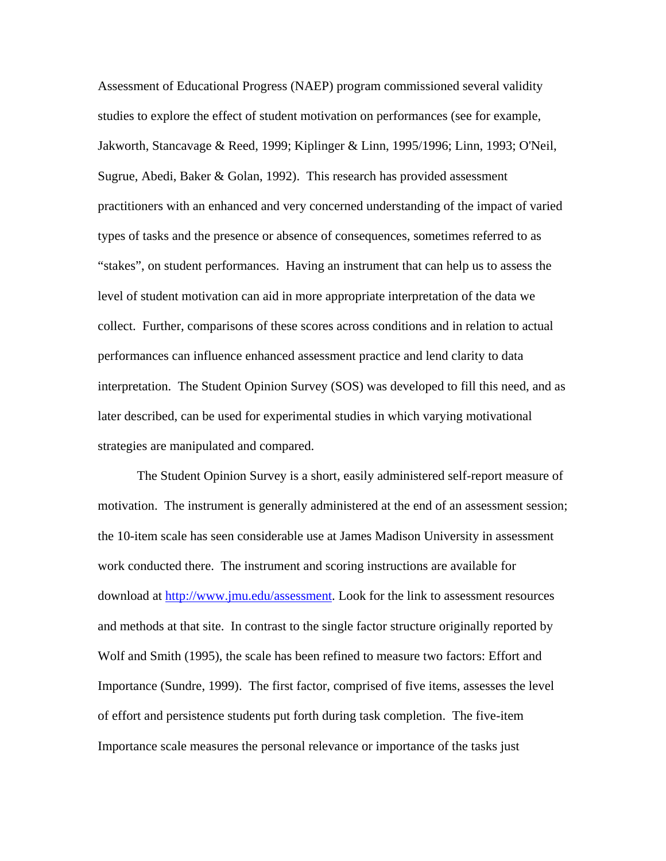Assessment of Educational Progress (NAEP) program commissioned several validity studies to explore the effect of student motivation on performances (see for example, Jakworth, Stancavage & Reed, 1999; Kiplinger & Linn, 1995/1996; Linn, 1993; O'Neil, Sugrue, Abedi, Baker & Golan, 1992). This research has provided assessment practitioners with an enhanced and very concerned understanding of the impact of varied types of tasks and the presence or absence of consequences, sometimes referred to as "stakes", on student performances. Having an instrument that can help us to assess the level of student motivation can aid in more appropriate interpretation of the data we collect. Further, comparisons of these scores across conditions and in relation to actual performances can influence enhanced assessment practice and lend clarity to data interpretation. The Student Opinion Survey (SOS) was developed to fill this need, and as later described, can be used for experimental studies in which varying motivational strategies are manipulated and compared.

The Student Opinion Survey is a short, easily administered self-report measure of motivation. The instrument is generally administered at the end of an assessment session; the 10-item scale has seen considerable use at James Madison University in assessment work conducted there. The instrument and scoring instructions are available for download at <http://www.jmu.edu/assessment>. Look for the link to assessment resources and methods at that site. In contrast to the single factor structure originally reported by Wolf and Smith (1995), the scale has been refined to measure two factors: Effort and Importance (Sundre, 1999). The first factor, comprised of five items, assesses the level of effort and persistence students put forth during task completion. The five-item Importance scale measures the personal relevance or importance of the tasks just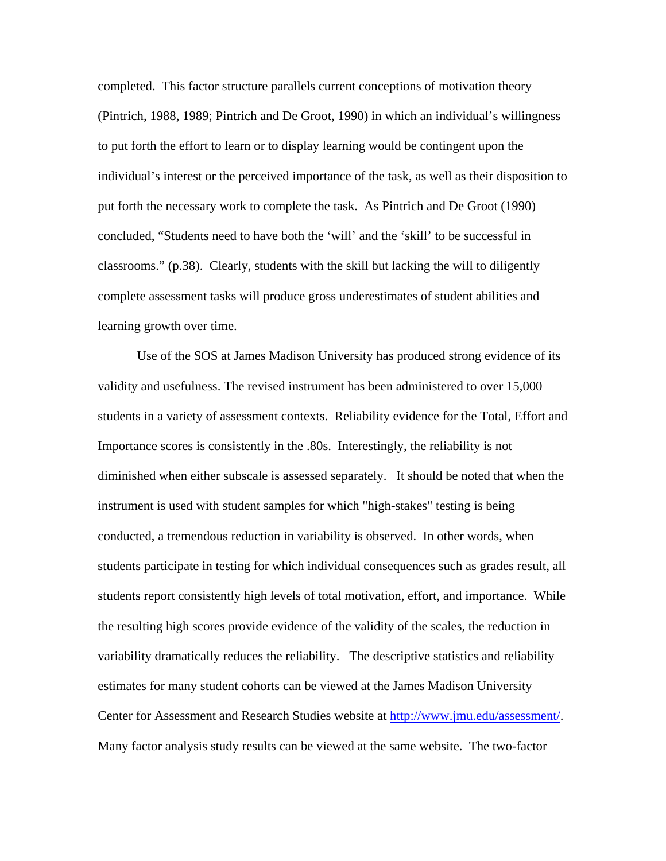completed. This factor structure parallels current conceptions of motivation theory (Pintrich, 1988, 1989; Pintrich and De Groot, 1990) in which an individual's willingness to put forth the effort to learn or to display learning would be contingent upon the individual's interest or the perceived importance of the task, as well as their disposition to put forth the necessary work to complete the task. As Pintrich and De Groot (1990) concluded, "Students need to have both the 'will' and the 'skill' to be successful in classrooms." (p.38). Clearly, students with the skill but lacking the will to diligently complete assessment tasks will produce gross underestimates of student abilities and learning growth over time.

Use of the SOS at James Madison University has produced strong evidence of its validity and usefulness. The revised instrument has been administered to over 15,000 students in a variety of assessment contexts. Reliability evidence for the Total, Effort and Importance scores is consistently in the .80s. Interestingly, the reliability is not diminished when either subscale is assessed separately. It should be noted that when the instrument is used with student samples for which "high-stakes" testing is being conducted, a tremendous reduction in variability is observed. In other words, when students participate in testing for which individual consequences such as grades result, all students report consistently high levels of total motivation, effort, and importance. While the resulting high scores provide evidence of the validity of the scales, the reduction in variability dramatically reduces the reliability. The descriptive statistics and reliability estimates for many student cohorts can be viewed at the James Madison University Center for Assessment and Research Studies website at <http://www.jmu.edu/assessment/>. Many factor analysis study results can be viewed at the same website. The two-factor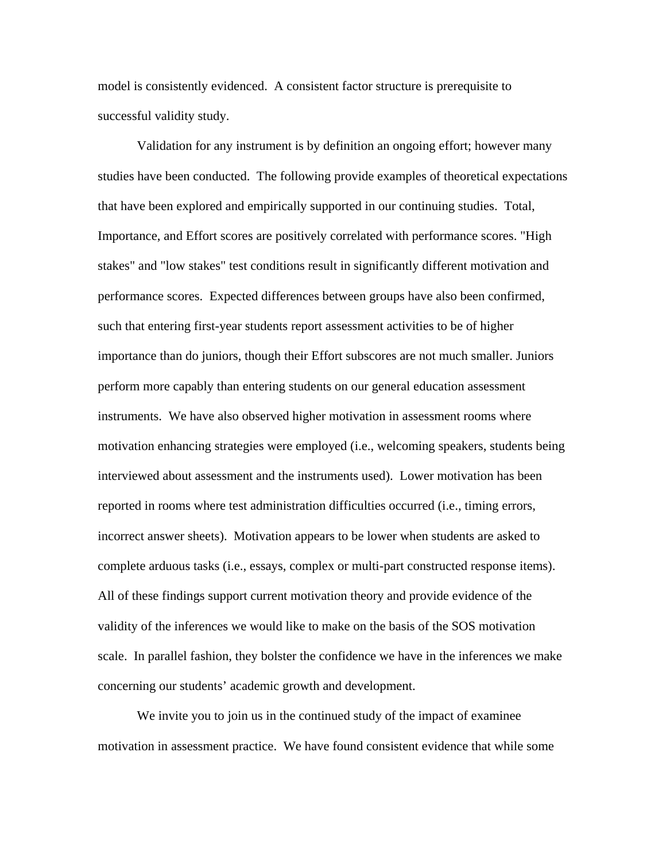model is consistently evidenced. A consistent factor structure is prerequisite to successful validity study.

Validation for any instrument is by definition an ongoing effort; however many studies have been conducted. The following provide examples of theoretical expectations that have been explored and empirically supported in our continuing studies. Total, Importance, and Effort scores are positively correlated with performance scores. "High stakes" and "low stakes" test conditions result in significantly different motivation and performance scores. Expected differences between groups have also been confirmed, such that entering first-year students report assessment activities to be of higher importance than do juniors, though their Effort subscores are not much smaller. Juniors perform more capably than entering students on our general education assessment instruments. We have also observed higher motivation in assessment rooms where motivation enhancing strategies were employed (i.e., welcoming speakers, students being interviewed about assessment and the instruments used). Lower motivation has been reported in rooms where test administration difficulties occurred (i.e., timing errors, incorrect answer sheets). Motivation appears to be lower when students are asked to complete arduous tasks (i.e., essays, complex or multi-part constructed response items). All of these findings support current motivation theory and provide evidence of the validity of the inferences we would like to make on the basis of the SOS motivation scale. In parallel fashion, they bolster the confidence we have in the inferences we make concerning our students' academic growth and development.

We invite you to join us in the continued study of the impact of examinee motivation in assessment practice. We have found consistent evidence that while some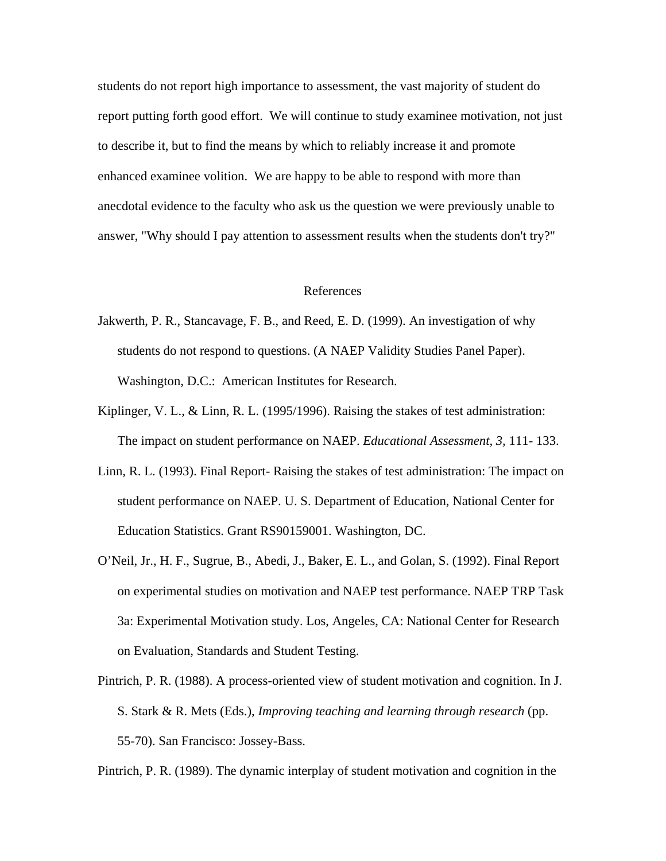students do not report high importance to assessment, the vast majority of student do report putting forth good effort. We will continue to study examinee motivation, not just to describe it, but to find the means by which to reliably increase it and promote enhanced examinee volition. We are happy to be able to respond with more than anecdotal evidence to the faculty who ask us the question we were previously unable to answer, "Why should I pay attention to assessment results when the students don't try?"

## References

- Jakwerth, P. R., Stancavage, F. B., and Reed, E. D. (1999). An investigation of why students do not respond to questions. (A NAEP Validity Studies Panel Paper). Washington, D.C.: American Institutes for Research.
- Kiplinger, V. L., & Linn, R. L. (1995/1996). Raising the stakes of test administration: The impact on student performance on NAEP. *Educational Assessment, 3,* 111- 133.
- Linn, R. L. (1993). Final Report- Raising the stakes of test administration: The impact on student performance on NAEP. U. S. Department of Education, National Center for Education Statistics. Grant RS90159001. Washington, DC.
- O'Neil, Jr., H. F., Sugrue, B., Abedi, J., Baker, E. L., and Golan, S. (1992). Final Report on experimental studies on motivation and NAEP test performance. NAEP TRP Task 3a: Experimental Motivation study. Los, Angeles, CA: National Center for Research on Evaluation, Standards and Student Testing.
- Pintrich, P. R. (1988). A process-oriented view of student motivation and cognition. In J. S. Stark & R. Mets (Eds.), *Improving teaching and learning through research* (pp. 55-70). San Francisco: Jossey-Bass.

Pintrich, P. R. (1989). The dynamic interplay of student motivation and cognition in the